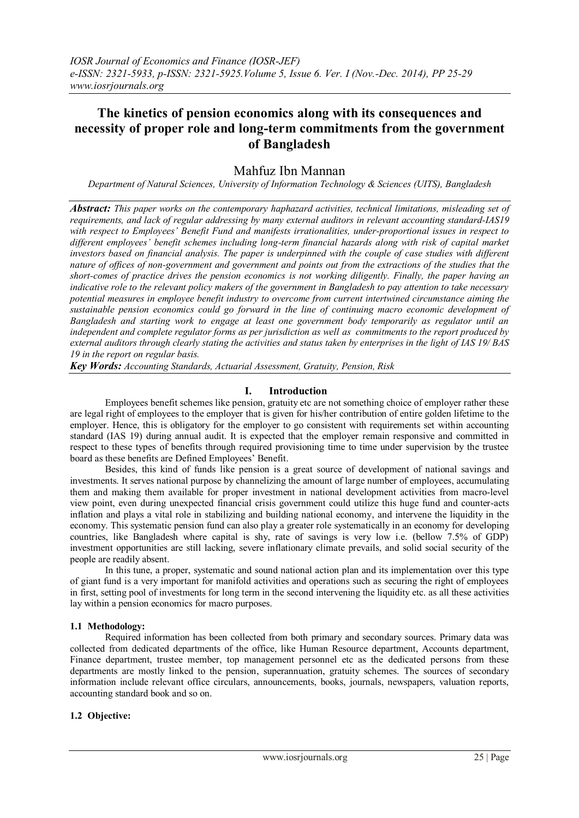# **The kinetics of pension economics along with its consequences and necessity of proper role and long-term commitments from the government of Bangladesh**

## Mahfuz Ibn Mannan

*Department of Natural Sciences, University of Information Technology & Sciences (UITS), Bangladesh*

*Abstract: This paper works on the contemporary haphazard activities, technical limitations, misleading set of requirements, and lack of regular addressing by many external auditors in relevant accounting standard-IAS19 with respect to Employees' Benefit Fund and manifests irrationalities, under-proportional issues in respect to different employees' benefit schemes including long-term financial hazards along with risk of capital market investors based on financial analysis. The paper is underpinned with the couple of case studies with different nature of offices of non-government and government and points out from the extractions of the studies that the short-comes of practice drives the pension economics is not working diligently. Finally, the paper having an indicative role to the relevant policy makers of the government in Bangladesh to pay attention to take necessary potential measures in employee benefit industry to overcome from current intertwined circumstance aiming the sustainable pension economics could go forward in the line of continuing macro economic development of Bangladesh and starting work to engage at least one government body temporarily as regulator until an independent and complete regulator forms as per jurisdiction as well as commitments to the report produced by external auditors through clearly stating the activities and status taken by enterprises in the light of IAS 19/ BAS 19 in the report on regular basis.*

*Key Words: Accounting Standards, Actuarial Assessment, Gratuity, Pension, Risk*

### **I. Introduction**

Employees benefit schemes like pension, gratuity etc are not something choice of employer rather these are legal right of employees to the employer that is given for his/her contribution of entire golden lifetime to the employer. Hence, this is obligatory for the employer to go consistent with requirements set within accounting standard (IAS 19) during annual audit. It is expected that the employer remain responsive and committed in respect to these types of benefits through required provisioning time to time under supervision by the trustee board as these benefits are Defined Employees' Benefit.

Besides, this kind of funds like pension is a great source of development of national savings and investments. It serves national purpose by channelizing the amount of large number of employees, accumulating them and making them available for proper investment in national development activities from macro-level view point, even during unexpected financial crisis government could utilize this huge fund and counter-acts inflation and plays a vital role in stabilizing and building national economy, and intervene the liquidity in the economy. This systematic pension fund can also play a greater role systematically in an economy for developing countries, like Bangladesh where capital is shy, rate of savings is very low i.e. (bellow 7.5% of GDP) investment opportunities are still lacking, severe inflationary climate prevails, and solid social security of the people are readily absent.

In this tune, a proper, systematic and sound national action plan and its implementation over this type of giant fund is a very important for manifold activities and operations such as securing the right of employees in first, setting pool of investments for long term in the second intervening the liquidity etc. as all these activities lay within a pension economics for macro purposes.

#### **1.1 Methodology:**

Required information has been collected from both primary and secondary sources. Primary data was collected from dedicated departments of the office, like Human Resource department, Accounts department, Finance department, trustee member, top management personnel etc as the dedicated persons from these departments are mostly linked to the pension, superannuation, gratuity schemes. The sources of secondary information include relevant office circulars, announcements, books, journals, newspapers, valuation reports, accounting standard book and so on.

## **1.2 Objective:**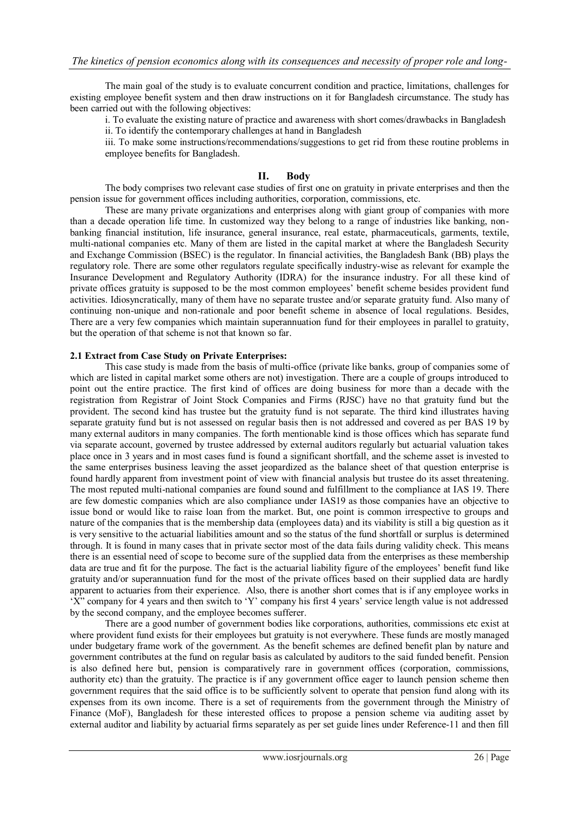The main goal of the study is to evaluate concurrent condition and practice, limitations, challenges for existing employee benefit system and then draw instructions on it for Bangladesh circumstance. The study has been carried out with the following objectives:

i. To evaluate the existing nature of practice and awareness with short comes/drawbacks in Bangladesh ii. To identify the contemporary challenges at hand in Bangladesh

iii. To make some instructions/recommendations/suggestions to get rid from these routine problems in employee benefits for Bangladesh.

## **II. Body**

The body comprises two relevant case studies of first one on gratuity in private enterprises and then the pension issue for government offices including authorities, corporation, commissions, etc.

These are many private organizations and enterprises along with giant group of companies with more than a decade operation life time. In customized way they belong to a range of industries like banking, nonbanking financial institution, life insurance, general insurance, real estate, pharmaceuticals, garments, textile, multi-national companies etc. Many of them are listed in the capital market at where the Bangladesh Security and Exchange Commission (BSEC) is the regulator. In financial activities, the Bangladesh Bank (BB) plays the regulatory role. There are some other regulators regulate specifically industry-wise as relevant for example the Insurance Development and Regulatory Authority (IDRA) for the insurance industry. For all these kind of private offices gratuity is supposed to be the most common employees' benefit scheme besides provident fund activities. Idiosyncratically, many of them have no separate trustee and/or separate gratuity fund. Also many of continuing non-unique and non-rationale and poor benefit scheme in absence of local regulations. Besides, There are a very few companies which maintain superannuation fund for their employees in parallel to gratuity, but the operation of that scheme is not that known so far.

#### **2.1 Extract from Case Study on Private Enterprises:**

This case study is made from the basis of multi-office (private like banks, group of companies some of which are listed in capital market some others are not) investigation. There are a couple of groups introduced to point out the entire practice. The first kind of offices are doing business for more than a decade with the registration from Registrar of Joint Stock Companies and Firms (RJSC) have no that gratuity fund but the provident. The second kind has trustee but the gratuity fund is not separate. The third kind illustrates having separate gratuity fund but is not assessed on regular basis then is not addressed and covered as per BAS 19 by many external auditors in many companies. The forth mentionable kind is those offices which has separate fund via separate account, governed by trustee addressed by external auditors regularly but actuarial valuation takes place once in 3 years and in most cases fund is found a significant shortfall, and the scheme asset is invested to the same enterprises business leaving the asset jeopardized as the balance sheet of that question enterprise is found hardly apparent from investment point of view with financial analysis but trustee do its asset threatening. The most reputed multi-national companies are found sound and fulfillment to the compliance at IAS 19. There are few domestic companies which are also compliance under IAS19 as those companies have an objective to issue bond or would like to raise loan from the market. But, one point is common irrespective to groups and nature of the companies that is the membership data (employees data) and its viability is still a big question as it is very sensitive to the actuarial liabilities amount and so the status of the fund shortfall or surplus is determined through. It is found in many cases that in private sector most of the data fails during validity check. This means there is an essential need of scope to become sure of the supplied data from the enterprises as these membership data are true and fit for the purpose. The fact is the actuarial liability figure of the employees' benefit fund like gratuity and/or superannuation fund for the most of the private offices based on their supplied data are hardly apparent to actuaries from their experience. Also, there is another short comes that is if any employee works in 'X" company for 4 years and then switch to 'Y' company his first 4 years' service length value is not addressed by the second company, and the employee becomes sufferer.

There are a good number of government bodies like corporations, authorities, commissions etc exist at where provident fund exists for their employees but gratuity is not everywhere. These funds are mostly managed under budgetary frame work of the government. As the benefit schemes are defined benefit plan by nature and government contributes at the fund on regular basis as calculated by auditors to the said funded benefit. Pension is also defined here but, pension is comparatively rare in government offices (corporation, commissions, authority etc) than the gratuity. The practice is if any government office eager to launch pension scheme then government requires that the said office is to be sufficiently solvent to operate that pension fund along with its expenses from its own income. There is a set of requirements from the government through the Ministry of Finance (MoF), Bangladesh for these interested offices to propose a pension scheme via auditing asset by external auditor and liability by actuarial firms separately as per set guide lines under Reference-11 and then fill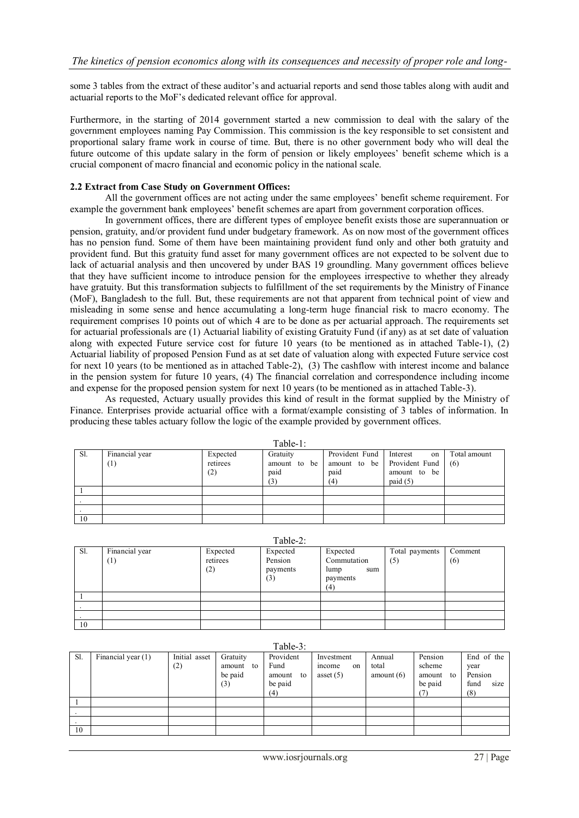some 3 tables from the extract of these auditor's and actuarial reports and send those tables along with audit and actuarial reports to the MoF's dedicated relevant office for approval.

Furthermore, in the starting of 2014 government started a new commission to deal with the salary of the government employees naming Pay Commission. This commission is the key responsible to set consistent and proportional salary frame work in course of time. But, there is no other government body who will deal the future outcome of this update salary in the form of pension or likely employees' benefit scheme which is a crucial component of macro financial and economic policy in the national scale.

#### **2.2 Extract from Case Study on Government Offices:**

All the government offices are not acting under the same employees' benefit scheme requirement. For example the government bank employees' benefit schemes are apart from government corporation offices.

In government offices, there are different types of employee benefit exists those are superannuation or pension, gratuity, and/or provident fund under budgetary framework. As on now most of the government offices has no pension fund. Some of them have been maintaining provident fund only and other both gratuity and provident fund. But this gratuity fund asset for many government offices are not expected to be solvent due to lack of actuarial analysis and then uncovered by under BAS 19 groundling. Many government offices believe that they have sufficient income to introduce pension for the employees irrespective to whether they already have gratuity. But this transformation subjects to fulfillment of the set requirements by the Ministry of Finance (MoF), Bangladesh to the full. But, these requirements are not that apparent from technical point of view and misleading in some sense and hence accumulating a long-term huge financial risk to macro economy. The requirement comprises 10 points out of which 4 are to be done as per actuarial approach. The requirements set for actuarial professionals are (1) Actuarial liability of existing Gratuity Fund (if any) as at set date of valuation along with expected Future service cost for future 10 years (to be mentioned as in attached Table-1), (2) Actuarial liability of proposed Pension Fund as at set date of valuation along with expected Future service cost for next 10 years (to be mentioned as in attached Table-2), (3) The cashflow with interest income and balance in the pension system for future 10 years, (4) The financial correlation and correspondence including income and expense for the proposed pension system for next 10 years (to be mentioned as in attached Table-3).

As requested, Actuary usually provides this kind of result in the format supplied by the Ministry of Finance. Enterprises provide actuarial office with a format/example consisting of 3 tables of information. In producing these tables actuary follow the logic of the example provided by government offices.

| 1 avit-1. |                       |                             |                         |                                                                           |                                              |                     |  |  |
|-----------|-----------------------|-----------------------------|-------------------------|---------------------------------------------------------------------------|----------------------------------------------|---------------------|--|--|
| Sl.       | Financial year<br>(1) | Expected<br>retirees<br>(2) | Gratuity<br>paid<br>(3) | Provident Fund<br>amount to be amount to be Provident Fund<br>paid<br>(4) | Interest<br>on<br>amount to be<br>paid $(5)$ | Total amount<br>(6) |  |  |
|           |                       |                             |                         |                                                                           |                                              |                     |  |  |
|           |                       |                             |                         |                                                                           |                                              |                     |  |  |
|           |                       |                             |                         |                                                                           |                                              |                     |  |  |
| 10        |                       |                             |                         |                                                                           |                                              |                     |  |  |

 $Table 1:$ 

 $Table 2:$ 

| $10010 - 1$ |                |                 |                     |                            |                |         |  |  |
|-------------|----------------|-----------------|---------------------|----------------------------|----------------|---------|--|--|
| Sl.         | Financial year | Expected        | Expected            | Expected                   | Total payments | Comment |  |  |
|             | $^{(1)}$       | retirees<br>(2) | Pension<br>payments | Commutation<br>lump<br>sum | (5)            | (6)     |  |  |
|             |                |                 | (3)                 | payments<br>(4)            |                |         |  |  |
|             |                |                 |                     |                            |                |         |  |  |
|             |                |                 |                     |                            |                |         |  |  |
|             |                |                 |                     |                            |                |         |  |  |
| 10          |                |                 |                     |                            |                |         |  |  |

| Table-3: |                    |               |              |              |             |              |              |              |
|----------|--------------------|---------------|--------------|--------------|-------------|--------------|--------------|--------------|
| Sl.      | Financial year (1) | Initial asset | Gratuity     | Provident    | Investment  | Annual       | Pension      | End of the   |
|          |                    | (2)           | amount<br>to | Fund         | mcome<br>on | total        | scheme       | year         |
|          |                    |               | be paid      | amount<br>to | asset $(5)$ | amount $(6)$ | amount<br>to | Pension      |
|          |                    |               | (3)          | be paid      |             |              | be paid      | size<br>fund |
|          |                    |               |              | (4)          |             |              |              | (8)          |
|          |                    |               |              |              |             |              |              |              |
|          |                    |               |              |              |             |              |              |              |
|          |                    |               |              |              |             |              |              |              |
| 10       |                    |               |              |              |             |              |              |              |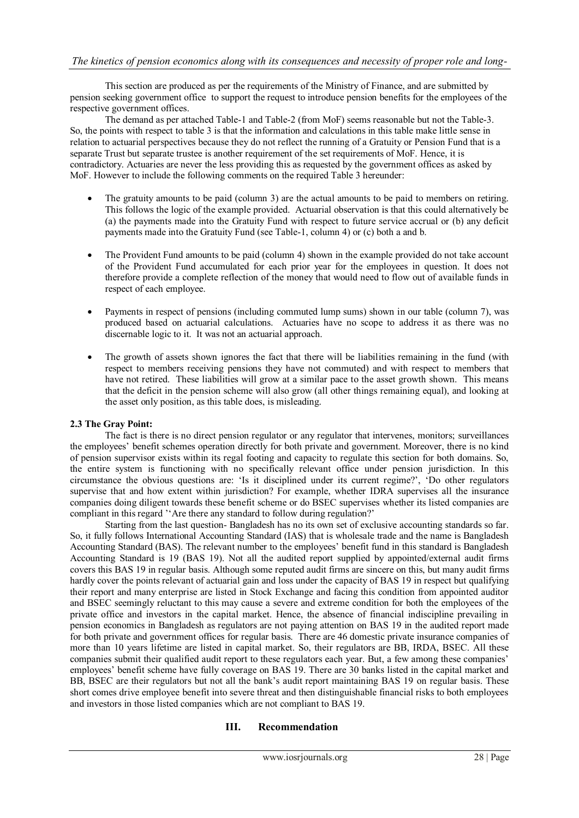This section are produced as per the requirements of the Ministry of Finance, and are submitted by pension seeking government office to support the request to introduce pension benefits for the employees of the respective government offices.

The demand as per attached Table-1 and Table-2 (from MoF) seems reasonable but not the Table-3. So, the points with respect to table 3 is that the information and calculations in this table make little sense in relation to actuarial perspectives because they do not reflect the running of a Gratuity or Pension Fund that is a separate Trust but separate trustee is another requirement of the set requirements of MoF. Hence, it is contradictory. Actuaries are never the less providing this as requested by the government offices as asked by MoF. However to include the following comments on the required Table 3 hereunder:

- The gratuity amounts to be paid (column 3) are the actual amounts to be paid to members on retiring. This follows the logic of the example provided. Actuarial observation is that this could alternatively be (a) the payments made into the Gratuity Fund with respect to future service accrual or (b) any deficit payments made into the Gratuity Fund (see Table-1, column 4) or (c) both a and b.
- The Provident Fund amounts to be paid (column 4) shown in the example provided do not take account of the Provident Fund accumulated for each prior year for the employees in question. It does not therefore provide a complete reflection of the money that would need to flow out of available funds in respect of each employee.
- Payments in respect of pensions (including commuted lump sums) shown in our table (column 7), was produced based on actuarial calculations. Actuaries have no scope to address it as there was no discernable logic to it. It was not an actuarial approach.
- The growth of assets shown ignores the fact that there will be liabilities remaining in the fund (with respect to members receiving pensions they have not commuted) and with respect to members that have not retired. These liabilities will grow at a similar pace to the asset growth shown. This means that the deficit in the pension scheme will also grow (all other things remaining equal), and looking at the asset only position, as this table does, is misleading.

#### **2.3 The Gray Point:**

The fact is there is no direct pension regulator or any regulator that intervenes, monitors; surveillances the employees' benefit schemes operation directly for both private and government. Moreover, there is no kind of pension supervisor exists within its regal footing and capacity to regulate this section for both domains. So, the entire system is functioning with no specifically relevant office under pension jurisdiction. In this circumstance the obvious questions are: 'Is it disciplined under its current regime?', 'Do other regulators supervise that and how extent within jurisdiction? For example, whether IDRA supervises all the insurance companies doing diligent towards these benefit scheme or do BSEC supervises whether its listed companies are compliant in this regard ''Are there any standard to follow during regulation?'

Starting from the last question- Bangladesh has no its own set of exclusive accounting standards so far. So, it fully follows International Accounting Standard (IAS) that is wholesale trade and the name is Bangladesh Accounting Standard (BAS). The relevant number to the employees' benefit fund in this standard is Bangladesh Accounting Standard is 19 (BAS 19). Not all the audited report supplied by appointed/external audit firms covers this BAS 19 in regular basis. Although some reputed audit firms are sincere on this, but many audit firms hardly cover the points relevant of actuarial gain and loss under the capacity of BAS 19 in respect but qualifying their report and many enterprise are listed in Stock Exchange and facing this condition from appointed auditor and BSEC seemingly reluctant to this may cause a severe and extreme condition for both the employees of the private office and investors in the capital market. Hence, the absence of financial indiscipline prevailing in pension economics in Bangladesh as regulators are not paying attention on BAS 19 in the audited report made for both private and government offices for regular basis. There are 46 domestic private insurance companies of more than 10 years lifetime are listed in capital market. So, their regulators are BB, IRDA, BSEC. All these companies submit their qualified audit report to these regulators each year. But, a few among these companies' employees' benefit scheme have fully coverage on BAS 19. There are 30 banks listed in the capital market and BB, BSEC are their regulators but not all the bank's audit report maintaining BAS 19 on regular basis. These short comes drive employee benefit into severe threat and then distinguishable financial risks to both employees and investors in those listed companies which are not compliant to BAS 19.

## **III. Recommendation**